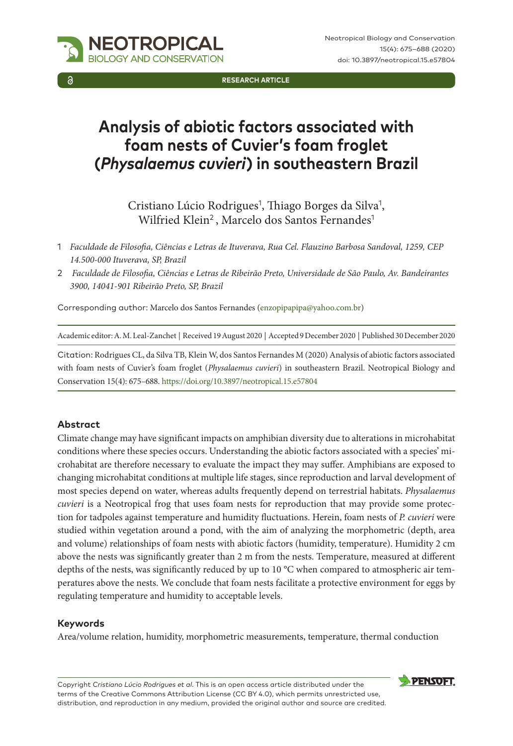NEOTROPICAL GY AND CONSERVATION

**Research Article**

# **Analysis of abiotic factors associated with foam nests of Cuvier's foam froglet (***Physalaemus cuvieri***) in southeastern Brazil**

Cristiano Lúcio Rodrigues<sup>1</sup>, Thiago Borges da Silva<sup>1</sup>, Wilfried Klein<sup>2</sup>, Marcelo dos Santos Fernandes<sup>1</sup>

- 1 *Faculdade de Filosofia, Ciências e Letras de Ituverava, Rua Cel. Flauzino Barbosa Sandoval, 1259, CEP 14.500-000 Ituverava, SP, Brazil*
- 2 *Faculdade de Filosofia, Ciências e Letras de Ribeirão Preto, Universidade de São Paulo, Av. Bandeirantes 3900, 14041-901 Ribeirão Preto, SP, Brazil*

Corresponding author: Marcelo dos Santos Fernandes [\(enzopipapipa@yahoo.com.br](mailto:enzopipapipa@yahoo.com.br))

Academic editor: A. M. Leal-Zanchet | Received 19 August 2020 | Accepted 9 December 2020 | Published 30 December 2020

Citation: Rodrigues CL, da Silva TB, Klein W, dos Santos Fernandes M (2020) Analysis of abiotic factors associated with foam nests of Cuvier's foam froglet (*Physalaemus cuvieri*) in southeastern Brazil. Neotropical Biology and Conservation 15(4): 675–688. <https://doi.org/10.3897/neotropical.15.e57804>

#### **Abstract**

Climate change may have significant impacts on amphibian diversity due to alterations in microhabitat conditions where these species occurs. Understanding the abiotic factors associated with a species' microhabitat are therefore necessary to evaluate the impact they may suffer. Amphibians are exposed to changing microhabitat conditions at multiple life stages, since reproduction and larval development of most species depend on water, whereas adults frequently depend on terrestrial habitats. *Physalaemus cuvieri* is a Neotropical frog that uses foam nests for reproduction that may provide some protection for tadpoles against temperature and humidity fluctuations. Herein, foam nests of *P. cuvieri* were studied within vegetation around a pond, with the aim of analyzing the morphometric (depth, area and volume) relationships of foam nests with abiotic factors (humidity, temperature). Humidity 2 cm above the nests was significantly greater than 2 m from the nests. Temperature, measured at different depths of the nests, was significantly reduced by up to 10 °C when compared to atmospheric air temperatures above the nests. We conclude that foam nests facilitate a protective environment for eggs by regulating temperature and humidity to acceptable levels.

#### **Keywords**

Area/volume relation, humidity, morphometric measurements, temperature, thermal conduction

Copyright *Cristiano Lúcio Rodrigues et al*. This is an open access article distributed under the terms of the [Creative Commons Attribution License \(CC BY 4.0\)](http://creativecommons.org/licenses/by/4.0/), which permits unrestricted use, distribution, and reproduction in any medium, provided the original author and source are credited.

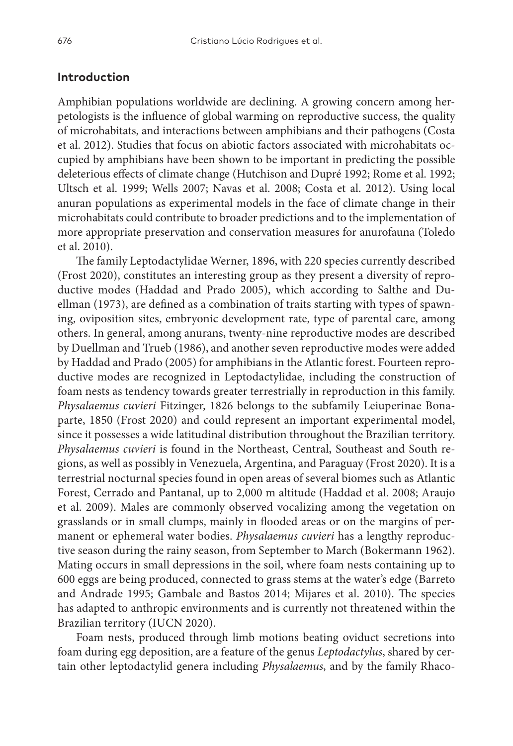## **Introduction**

Amphibian populations worldwide are declining. A growing concern among herpetologists is the influence of global warming on reproductive success, the quality of microhabitats, and interactions between amphibians and their pathogens (Costa et al. 2012). Studies that focus on abiotic factors associated with microhabitats occupied by amphibians have been shown to be important in predicting the possible deleterious effects of climate change (Hutchison and Dupré 1992; Rome et al. 1992; Ultsch et al. 1999; Wells 2007; Navas et al. 2008; Costa et al. 2012). Using local anuran populations as experimental models in the face of climate change in their microhabitats could contribute to broader predictions and to the implementation of more appropriate preservation and conservation measures for anurofauna (Toledo et al. 2010).

The family Leptodactylidae Werner, 1896, with 220 species currently described (Frost 2020), constitutes an interesting group as they present a diversity of reproductive modes (Haddad and Prado 2005), which according to Salthe and Duellman (1973), are defined as a combination of traits starting with types of spawning, oviposition sites, embryonic development rate, type of parental care, among others. In general, among anurans, twenty-nine reproductive modes are described by Duellman and Trueb (1986), and another seven reproductive modes were added by Haddad and Prado (2005) for amphibians in the Atlantic forest. Fourteen reproductive modes are recognized in Leptodactylidae, including the construction of foam nests as tendency towards greater terrestrially in reproduction in this family. *Physalaemus cuvieri* Fitzinger, 1826 belongs to the subfamily Leiuperinae Bonaparte, 1850 (Frost 2020) and could represent an important experimental model, since it possesses a wide latitudinal distribution throughout the Brazilian territory. *Physalaemus cuvieri* is found in the Northeast, Central, Southeast and South regions, as well as possibly in Venezuela, Argentina, and Paraguay (Frost 2020). It is a terrestrial nocturnal species found in open areas of several biomes such as Atlantic Forest, Cerrado and Pantanal, up to 2,000 m altitude (Haddad et al. 2008; Araujo et al. 2009). Males are commonly observed vocalizing among the vegetation on grasslands or in small clumps, mainly in flooded areas or on the margins of permanent or ephemeral water bodies. *Physalaemus cuvieri* has a lengthy reproductive season during the rainy season, from September to March (Bokermann 1962). Mating occurs in small depressions in the soil, where foam nests containing up to 600 eggs are being produced, connected to grass stems at the water's edge (Barreto and Andrade 1995; Gambale and Bastos 2014; Mijares et al. 2010). The species has adapted to anthropic environments and is currently not threatened within the Brazilian territory (IUCN 2020).

Foam nests, produced through limb motions beating oviduct secretions into foam during egg deposition, are a feature of the genus *Leptodactylus*, shared by certain other leptodactylid genera including *Physalaemus*, and by the family Rhaco-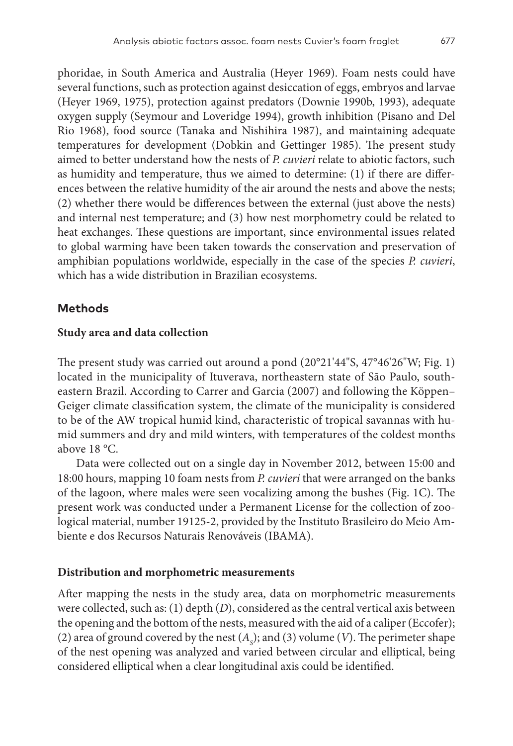phoridae, in South America and Australia (Heyer 1969). Foam nests could have several functions, such as protection against desiccation of eggs, embryos and larvae (Heyer 1969, 1975), protection against predators (Downie 1990b, 1993), adequate oxygen supply (Seymour and Loveridge 1994), growth inhibition (Pisano and Del Rio 1968), food source (Tanaka and Nishihira 1987), and maintaining adequate temperatures for development (Dobkin and Gettinger 1985). The present study aimed to better understand how the nests of *P. cuvieri* relate to abiotic factors, such as humidity and temperature, thus we aimed to determine: (1) if there are differences between the relative humidity of the air around the nests and above the nests; (2) whether there would be differences between the external (just above the nests) and internal nest temperature; and (3) how nest morphometry could be related to heat exchanges. These questions are important, since environmental issues related to global warming have been taken towards the conservation and preservation of amphibian populations worldwide, especially in the case of the species *P. cuvieri*, which has a wide distribution in Brazilian ecosystems.

### **Methods**

#### **Study area and data collection**

The present study was carried out around a pond (20°21'44"S, 47°46'26"W; Fig. 1) located in the municipality of Ituverava, northeastern state of São Paulo, southeastern Brazil. According to Carrer and Garcia (2007) and following the Köppen– Geiger climate classification system, the climate of the municipality is considered to be of the AW tropical humid kind, characteristic of tropical savannas with humid summers and dry and mild winters, with temperatures of the coldest months above 18 °C.

Data were collected out on a single day in November 2012, between 15:00 and 18:00 hours, mapping 10 foam nests from *P. cuvieri* that were arranged on the banks of the lagoon, where males were seen vocalizing among the bushes (Fig. 1C). The present work was conducted under a Permanent License for the collection of zoological material, number 19125-2, provided by the Instituto Brasileiro do Meio Ambiente e dos Recursos Naturais Renováveis (IBAMA).

#### **Distribution and morphometric measurements**

After mapping the nests in the study area, data on morphometric measurements were collected, such as: (1) depth (*D*), considered as the central vertical axis between the opening and the bottom of the nests, measured with the aid of a caliper (Eccofer); (2) area of ground covered by the nest  $(A<sub>s</sub>)$ ; and (3) volume (*V*). The perimeter shape of the nest opening was analyzed and varied between circular and elliptical, being considered elliptical when a clear longitudinal axis could be identified.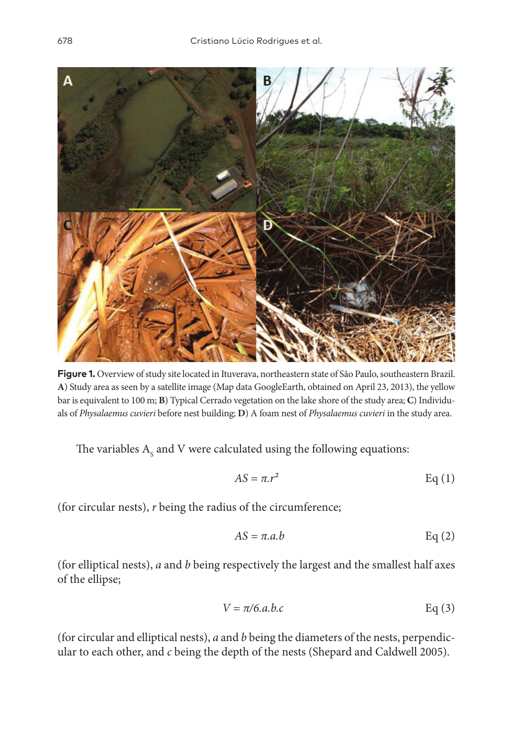

**Figure 1.** Overview of study site located in Ituverava, northeastern state of São Paulo, southeastern Brazil. **A**) Study area as seen by a satellite image (Map data GoogleEarth, obtained on April 23, 2013), the yellow bar is equivalent to 100 m; **B**) Typical Cerrado vegetation on the lake shore of the study area; **C**) Individuals of *Physalaemus cuvieri* before nest building; **D**) A foam nest of *Physalaemus cuvieri* in the study area.

The variables  $\mathrm{A}_{\mathrm{s}}$  and V were calculated using the following equations:

$$
AS = \pi r^2
$$
 Eq (1)

(for circular nests), *r* being the radius of the circumference;

$$
AS = \pi.a.b \qquad \text{Eq (2)}
$$

(for elliptical nests), *a* and *b* being respectively the largest and the smallest half axes of the ellipse;

$$
V = \pi/6. a.b.c
$$
 Eq (3)

(for circular and elliptical nests), *a* and *b* being the diameters of the nests, perpendicular to each other, and *c* being the depth of the nests (Shepard and Caldwell 2005).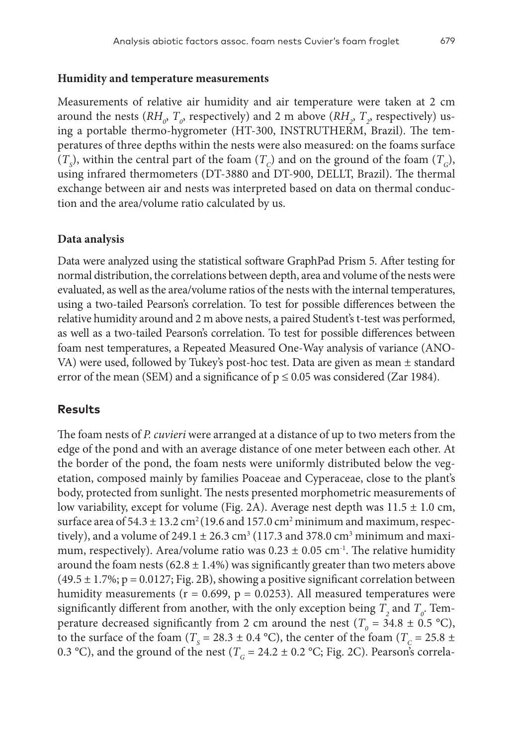#### **Humidity and temperature measurements**

Measurements of relative air humidity and air temperature were taken at 2 cm around the nests ( $RH_{o}$ ,  $T_{o}$ , respectively) and 2 m above ( $RH_{2}$ ,  $T_{2}$ , respectively) using a portable thermo-hygrometer (HT-300, INSTRUTHERM, Brazil). The temperatures of three depths within the nests were also measured: on the foams surface  $(T<sub>S</sub>)$ , within the central part of the foam  $(T<sub>C</sub>)$  and on the ground of the foam  $(T<sub>C</sub>)$ , using infrared thermometers (DT-3880 and DT-900, DELLT, Brazil). The thermal exchange between air and nests was interpreted based on data on thermal conduction and the area/volume ratio calculated by us.

#### **Data analysis**

Data were analyzed using the statistical software GraphPad Prism 5. After testing for normal distribution, the correlations between depth, area and volume of the nests were evaluated, as well as the area/volume ratios of the nests with the internal temperatures, using a two-tailed Pearson's correlation. To test for possible differences between the relative humidity around and 2 m above nests, a paired Student's t-test was performed, as well as a two-tailed Pearson's correlation. To test for possible differences between foam nest temperatures, a Repeated Measured One-Way analysis of variance (ANO-VA) were used, followed by Tukey's post-hoc test. Data are given as mean ± standard error of the mean (SEM) and a significance of  $p \le 0.05$  was considered (Zar 1984).

## **Results**

The foam nests of *P. cuvieri* were arranged at a distance of up to two meters from the edge of the pond and with an average distance of one meter between each other. At the border of the pond, the foam nests were uniformly distributed below the vegetation, composed mainly by families Poaceae and Cyperaceae, close to the plant's body, protected from sunlight. The nests presented morphometric measurements of low variability, except for volume (Fig. 2A). Average nest depth was 11.5 ± 1.0 cm, surface area of  $54.3 \pm 13.2 \text{ cm}^2 (19.6 \text{ and } 157.0 \text{ cm}^2 \text{ minimum and maximum, respectively})$ tively), and a volume of 249.1  $\pm$  26.3 cm<sup>3</sup> (117.3 and 378.0 cm<sup>3</sup> minimum and maximum, respectively). Area/volume ratio was  $0.23 \pm 0.05$  cm<sup>-1</sup>. The relative humidity around the foam nests  $(62.8 \pm 1.4\%)$  was significantly greater than two meters above  $(49.5 \pm 1.7\%)$ ; p = 0.0127; Fig. 2B), showing a positive significant correlation between humidity measurements ( $r = 0.699$ ,  $p = 0.0253$ ). All measured temperatures were significantly different from another, with the only exception being  $T_{2}$  and  $T_{0}$ . Temperature decreased significantly from 2 cm around the nest ( $T_o = 34.8 \pm 0.5$  °C), to the surface of the foam ( $T_s$  = 28.3  $\pm$  0.4 °C), the center of the foam ( $T_c$  = 25.8  $\pm$ 0.3 °C), and the ground of the nest ( $T_G = 24.2 \pm 0.2$  °C; Fig. 2C). Pearson's correla-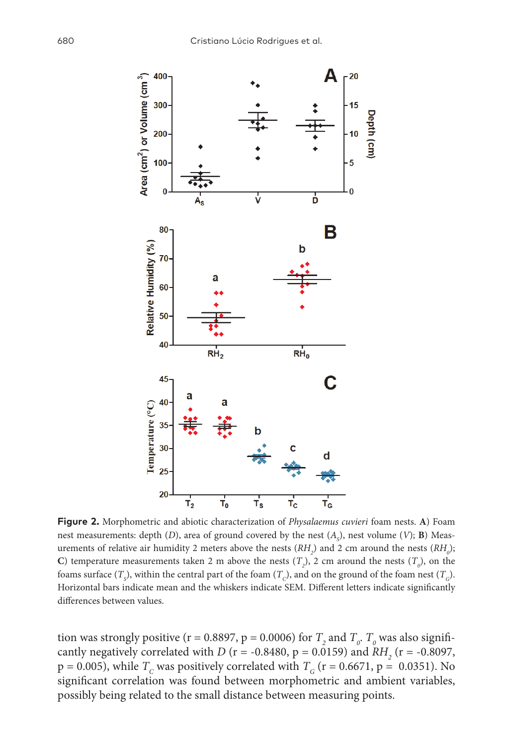

**Figure 2.** Morphometric and abiotic characterization of *Physalaemus cuvieri* foam nests. **A**) Foam nest measurements: depth  $(D)$ , area of ground covered by the nest  $(A<sub>s</sub>)$ , nest volume  $(V)$ ; **B**) Measurements of relative air humidity 2 meters above the nests  $(RH_2)$  and 2 cm around the nests  $(RH_0)$ ; **C**) temperature measurements taken 2 m above the nests  $(T_2)$ , 2 cm around the nests  $(T_0)$ , on the foams surface  $(T_{\rm s})$ , within the central part of the foam  $(T_{\rm c})$ , and on the ground of the foam nest  $(T_{\rm c})$ . Horizontal bars indicate mean and the whiskers indicate SEM. Different letters indicate significantly differences between values.

tion was strongly positive (r = 0.8897, p = 0.0006) for  $T_2$  and  $T_o$ .  $T_o$  was also significantly negatively correlated with *D* ( $r = -0.8480$ ,  $p = 0.0159$ ) and *RH*<sub>2</sub> ( $r = -0.8097$ , p = 0.005), while  $T_c$  was positively correlated with  $T_c$  (r = 0.6671, p = 0.0351). No significant correlation was found between morphometric and ambient variables, possibly being related to the small distance between measuring points.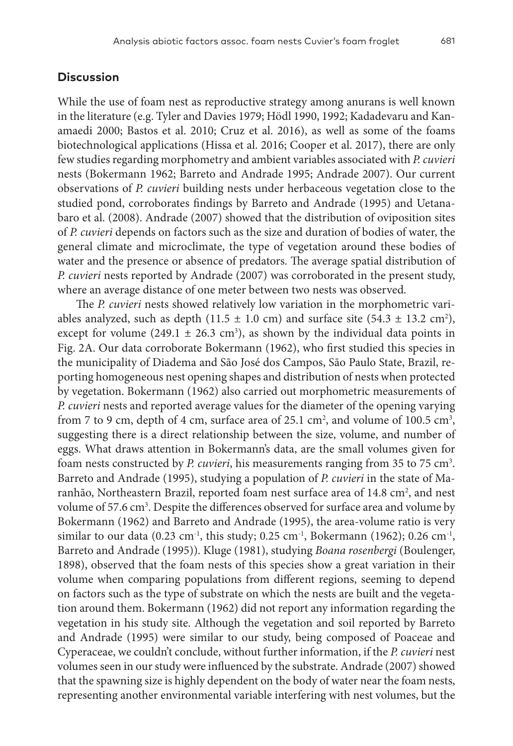## **Discussion**

While the use of foam nest as reproductive strategy among anurans is well known in the literature (e.g. Tyler and Davies 1979; Hödl 1990, 1992; Kadadevaru and Kanamaedi 2000; Bastos et al. 2010; Cruz et al. 2016), as well as some of the foams biotechnological applications (Hissa et al. 2016; Cooper et al. 2017), there are only few studies regarding morphometry and ambient variables associated with *P. cuvieri*  nests (Bokermann 1962; Barreto and Andrade 1995; Andrade 2007). Our current observations of *P. cuvieri* building nests under herbaceous vegetation close to the studied pond, corroborates findings by Barreto and Andrade (1995) and Uetanabaro et al. (2008). Andrade (2007) showed that the distribution of oviposition sites of *P. cuvieri* depends on factors such as the size and duration of bodies of water, the general climate and microclimate, the type of vegetation around these bodies of water and the presence or absence of predators. The average spatial distribution of *P. cuvieri* nests reported by Andrade (2007) was corroborated in the present study, where an average distance of one meter between two nests was observed.

The *P. cuvieri* nests showed relatively low variation in the morphometric variables analyzed, such as depth  $(11.5 \pm 1.0 \text{ cm})$  and surface site  $(54.3 \pm 13.2 \text{ cm}^2)$ , except for volume  $(249.1 \pm 26.3 \text{ cm}^3)$ , as shown by the individual data points in Fig. 2A. Our data corroborate Bokermann (1962), who first studied this species in the municipality of Diadema and São José dos Campos, São Paulo State, Brazil, reporting homogeneous nest opening shapes and distribution of nests when protected by vegetation. Bokermann (1962) also carried out morphometric measurements of *P. cuvieri* nests and reported average values for the diameter of the opening varying from 7 to 9 cm, depth of 4 cm, surface area of 25.1 cm<sup>2</sup>, and volume of 100.5 cm<sup>3</sup>, suggesting there is a direct relationship between the size, volume, and number of eggs. What draws attention in Bokermann's data, are the small volumes given for foam nests constructed by *P. cuvieri*, his measurements ranging from 35 to 75 cm<sup>3</sup>. Barreto and Andrade (1995), studying a population of *P. cuvieri* in the state of Maranhão, Northeastern Brazil, reported foam nest surface area of 14.8 cm<sup>2</sup>, and nest volume of 57.6 cm<sup>3</sup>. Despite the differences observed for surface area and volume by Bokermann (1962) and Barreto and Andrade (1995), the area-volume ratio is very similar to our data (0.23 cm<sup>-1</sup>, this study; 0.25 cm<sup>-1</sup>, Bokermann (1962); 0.26 cm<sup>-1</sup>, Barreto and Andrade (1995)). Kluge (1981), studying *Boana rosenbergi* (Boulenger, 1898), observed that the foam nests of this species show a great variation in their volume when comparing populations from different regions, seeming to depend on factors such as the type of substrate on which the nests are built and the vegetation around them. Bokermann (1962) did not report any information regarding the vegetation in his study site. Although the vegetation and soil reported by Barreto and Andrade (1995) were similar to our study, being composed of Poaceae and Cyperaceae, we couldn't conclude, without further information, if the *P. cuvieri* nest volumes seen in our study were influenced by the substrate. Andrade (2007) showed that the spawning size is highly dependent on the body of water near the foam nests, representing another environmental variable interfering with nest volumes, but the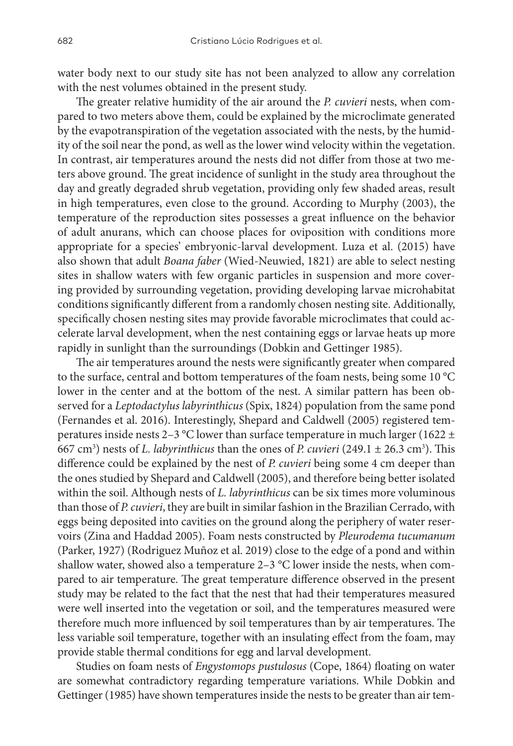water body next to our study site has not been analyzed to allow any correlation with the nest volumes obtained in the present study.

The greater relative humidity of the air around the *P. cuvieri* nests, when compared to two meters above them, could be explained by the microclimate generated by the evapotranspiration of the vegetation associated with the nests, by the humidity of the soil near the pond, as well as the lower wind velocity within the vegetation. In contrast, air temperatures around the nests did not differ from those at two meters above ground. The great incidence of sunlight in the study area throughout the day and greatly degraded shrub vegetation, providing only few shaded areas, result in high temperatures, even close to the ground. According to Murphy (2003), the temperature of the reproduction sites possesses a great influence on the behavior of adult anurans, which can choose places for oviposition with conditions more appropriate for a species' embryonic-larval development. Luza et al. (2015) have also shown that adult *Boana faber* (Wied-Neuwied, 1821) are able to select nesting sites in shallow waters with few organic particles in suspension and more covering provided by surrounding vegetation, providing developing larvae microhabitat conditions significantly different from a randomly chosen nesting site. Additionally, specifically chosen nesting sites may provide favorable microclimates that could accelerate larval development, when the nest containing eggs or larvae heats up more rapidly in sunlight than the surroundings (Dobkin and Gettinger 1985).

The air temperatures around the nests were significantly greater when compared to the surface, central and bottom temperatures of the foam nests, being some 10 °C lower in the center and at the bottom of the nest. A similar pattern has been observed for a *Leptodactylus labyrinthicus* (Spix, 1824) population from the same pond (Fernandes et al. 2016). Interestingly, Shepard and Caldwell (2005) registered temperatures inside nests 2-3 °C lower than surface temperature in much larger (1622  $\pm$ 667 cm<sup>3</sup>) nests of *L. labyrinthicus* than the ones of *P. cuvieri* (249.1  $\pm$  26.3 cm<sup>3</sup>). This difference could be explained by the nest of *P. cuvieri* being some 4 cm deeper than the ones studied by Shepard and Caldwell (2005), and therefore being better isolated within the soil. Although nests of *L. labyrinthicus* can be six times more voluminous than those of *P. cuvieri*, they are built in similar fashion in the Brazilian Cerrado, with eggs being deposited into cavities on the ground along the periphery of water reservoirs (Zina and Haddad 2005). Foam nests constructed by *Pleurodema tucumanum* (Parker, 1927) (Rodriguez Muñoz et al. 2019) close to the edge of a pond and within shallow water, showed also a temperature 2–3 °C lower inside the nests, when compared to air temperature. The great temperature difference observed in the present study may be related to the fact that the nest that had their temperatures measured were well inserted into the vegetation or soil, and the temperatures measured were therefore much more influenced by soil temperatures than by air temperatures. The less variable soil temperature, together with an insulating effect from the foam, may provide stable thermal conditions for egg and larval development.

Studies on foam nests of *Engystomops pustulosus* (Cope, 1864) floating on water are somewhat contradictory regarding temperature variations. While Dobkin and Gettinger (1985) have shown temperatures inside the nests to be greater than air tem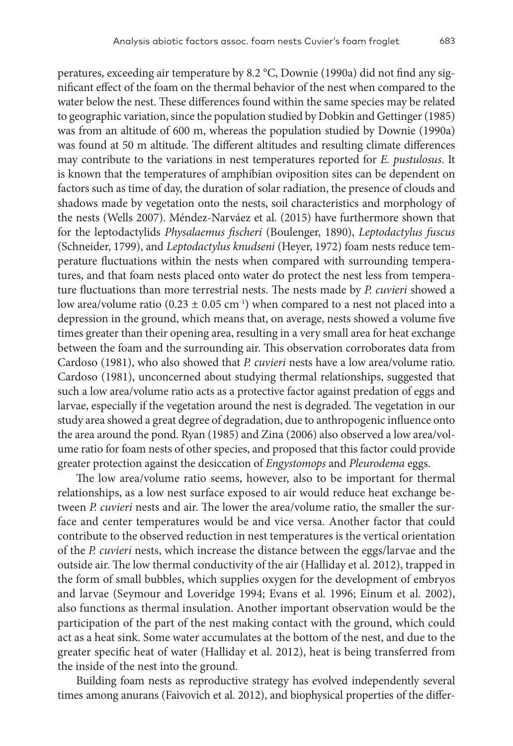peratures, exceeding air temperature by 8.2 °C, Downie (1990a) did not find any significant effect of the foam on the thermal behavior of the nest when compared to the water below the nest. These differences found within the same species may be related to geographic variation, since the population studied by Dobkin and Gettinger (1985) was from an altitude of 600 m, whereas the population studied by Downie (1990a) was found at 50 m altitude. The different altitudes and resulting climate differences may contribute to the variations in nest temperatures reported for *E. pustulosus*. It is known that the temperatures of amphibian oviposition sites can be dependent on factors such as time of day, the duration of solar radiation, the presence of clouds and shadows made by vegetation onto the nests, soil characteristics and morphology of the nests (Wells 2007). Méndez-Narváez et al. (2015) have furthermore shown that for the leptodactylids *Physalaemus fischeri* (Boulenger, 1890), *Leptodactylus fuscus* (Schneider, 1799), and *Leptodactylus knudseni* (Heyer, 1972) foam nests reduce temperature fluctuations within the nests when compared with surrounding temperatures, and that foam nests placed onto water do protect the nest less from temperature fluctuations than more terrestrial nests. The nests made by *P. cuvieri* showed a low area/volume ratio (0.23  $\pm$  0.05 cm<sup>-1</sup>) when compared to a nest not placed into a depression in the ground, which means that, on average, nests showed a volume five times greater than their opening area, resulting in a very small area for heat exchange between the foam and the surrounding air. This observation corroborates data from Cardoso (1981), who also showed that *P. cuvieri* nests have a low area/volume ratio. Cardoso (1981), unconcerned about studying thermal relationships, suggested that such a low area/volume ratio acts as a protective factor against predation of eggs and larvae, especially if the vegetation around the nest is degraded. The vegetation in our study area showed a great degree of degradation, due to anthropogenic influence onto the area around the pond. Ryan (1985) and Zina (2006) also observed a low area/volume ratio for foam nests of other species, and proposed that this factor could provide greater protection against the desiccation of *Engystomops* and *Pleurodema* eggs.

The low area/volume ratio seems, however, also to be important for thermal relationships, as a low nest surface exposed to air would reduce heat exchange between *P. cuvieri* nests and air. The lower the area/volume ratio, the smaller the surface and center temperatures would be and vice versa. Another factor that could contribute to the observed reduction in nest temperatures is the vertical orientation of the *P. cuvieri* nests, which increase the distance between the eggs/larvae and the outside air. The low thermal conductivity of the air (Halliday et al. 2012), trapped in the form of small bubbles, which supplies oxygen for the development of embryos and larvae (Seymour and Loveridge 1994; Evans et al. 1996; Einum et al. 2002), also functions as thermal insulation. Another important observation would be the participation of the part of the nest making contact with the ground, which could act as a heat sink. Some water accumulates at the bottom of the nest, and due to the greater specific heat of water (Halliday et al. 2012), heat is being transferred from the inside of the nest into the ground.

Building foam nests as reproductive strategy has evolved independently several times among anurans (Faivovich et al. 2012), and biophysical properties of the differ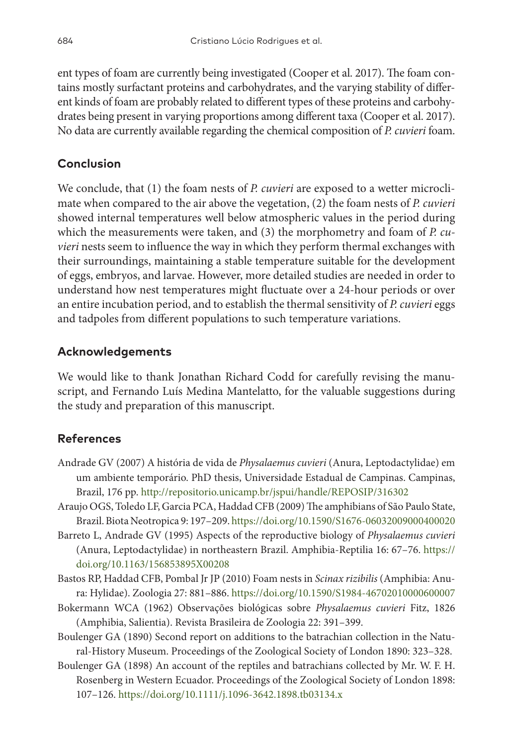ent types of foam are currently being investigated (Cooper et al. 2017). The foam contains mostly surfactant proteins and carbohydrates, and the varying stability of different kinds of foam are probably related to different types of these proteins and carbohydrates being present in varying proportions among different taxa (Cooper et al. 2017). No data are currently available regarding the chemical composition of *P. cuvieri* foam.

# **Conclusion**

We conclude, that (1) the foam nests of *P. cuvieri* are exposed to a wetter microclimate when compared to the air above the vegetation, (2) the foam nests of *P. cuvieri* showed internal temperatures well below atmospheric values in the period during which the measurements were taken, and (3) the morphometry and foam of *P. cuvieri* nests seem to influence the way in which they perform thermal exchanges with their surroundings, maintaining a stable temperature suitable for the development of eggs, embryos, and larvae. However, more detailed studies are needed in order to understand how nest temperatures might fluctuate over a 24-hour periods or over an entire incubation period, and to establish the thermal sensitivity of *P. cuvieri* eggs and tadpoles from different populations to such temperature variations.

# **Acknowledgements**

We would like to thank Jonathan Richard Codd for carefully revising the manuscript, and Fernando Luís Medina Mantelatto, for the valuable suggestions during the study and preparation of this manuscript.

# **References**

- Andrade GV (2007) A história de vida de *Physalaemus cuvieri* (Anura, Leptodactylidae) em um ambiente temporário. PhD thesis, Universidade Estadual de Campinas. Campinas, Brazil, 176 pp. <http://repositorio.unicamp.br/jspui/handle/REPOSIP/316302>
- Araujo OGS, Toledo LF, Garcia PCA, Haddad CFB (2009) The amphibians of São Paulo State, Brazil. Biota Neotropica 9: 197–209.<https://doi.org/10.1590/S1676-06032009000400020>
- Barreto L, Andrade GV (1995) Aspects of the reproductive biology of *Physalaemus cuvieri* (Anura, Leptodactylidae) in northeastern Brazil. Amphibia-Reptilia 16: 67–76. [https://](https://doi.org/10.1163/156853895X00208) [doi.org/10.1163/156853895X00208](https://doi.org/10.1163/156853895X00208)
- Bastos RP, Haddad CFB, Pombal Jr JP (2010) Foam nests in *Scinax rizibilis* (Amphibia: Anura: Hylidae). Zoologia 27: 881–886.<https://doi.org/10.1590/S1984-46702010000600007>
- Bokermann WCA (1962) Observações biológicas sobre *Physalaemus cuvieri* Fitz, 1826 (Amphibia, Salientia). Revista Brasileira de Zoologia 22: 391–399.
- Boulenger GA (1890) Second report on additions to the batrachian collection in the Natural-History Museum. Proceedings of the Zoological Society of London 1890: 323–328.
- Boulenger GA (1898) An account of the reptiles and batrachians collected by Mr. W. F. H. Rosenberg in Western Ecuador. Proceedings of the Zoological Society of London 1898: 107–126.<https://doi.org/10.1111/j.1096-3642.1898.tb03134.x>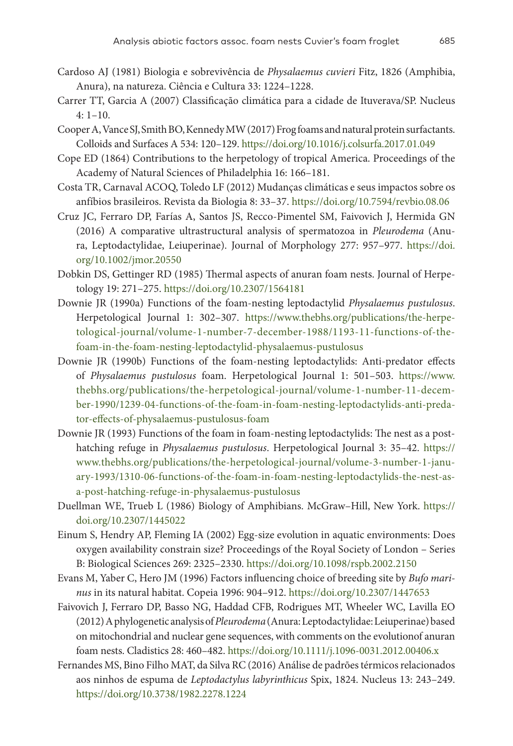- Cardoso AJ (1981) Biologia e sobrevivência de *Physalaemus cuvieri* Fitz, 1826 (Amphibia, Anura), na natureza. Ciência e Cultura 33: 1224–1228.
- Carrer TT, Garcia A (2007) Classificação climática para a cidade de Ituverava/SP. Nucleus 4: 1–10.
- Cooper A, Vance SJ, Smith BO, Kennedy MW (2017) Frog foams and natural protein surfactants. Colloids and Surfaces A 534: 120–129.<https://doi.org/10.1016/j.colsurfa.2017.01.049>
- Cope ED (1864) Contributions to the herpetology of tropical America. Proceedings of the Academy of Natural Sciences of Philadelphia 16: 166–181.
- Costa TR, Carnaval ACOQ, Toledo LF (2012) Mudanças climáticas e seus impactos sobre os anfíbios brasileiros. Revista da Biologia 8: 33–37.<https://doi.org/10.7594/revbio.08.06>
- Cruz JC, Ferraro DP, Farías A, Santos JS, Recco-Pimentel SM, Faivovich J, Hermida GN (2016) A comparative ultrastructural analysis of spermatozoa in *Pleurodema* (Anura, Leptodactylidae, Leiuperinae). Journal of Morphology 277: 957–977. [https://doi.](https://doi.org/10.1002/jmor.20550) [org/10.1002/jmor.20550](https://doi.org/10.1002/jmor.20550)
- Dobkin DS, Gettinger RD (1985) Thermal aspects of anuran foam nests. Journal of Herpetology 19: 271–275. <https://doi.org/10.2307/1564181>
- Downie JR (1990a) Functions of the foam-nesting leptodactylid *Physalaemus pustulosus*. Herpetological Journal 1: 302–307. [https://www.thebhs.org/publications/the-herpe](https://www.thebhs.org/publications/the-herpetological-journal/volume-1-number-7-december-1988/1193-11-functions-of-the-foam-in-the-foam-nesting-leptodactylid-physalaemus-pustulosus)[tological-journal/volume-1-number-7-december-1988/1193-11-functions-of-the](https://www.thebhs.org/publications/the-herpetological-journal/volume-1-number-7-december-1988/1193-11-functions-of-the-foam-in-the-foam-nesting-leptodactylid-physalaemus-pustulosus)[foam-in-the-foam-nesting-leptodactylid-physalaemus-pustulosus](https://www.thebhs.org/publications/the-herpetological-journal/volume-1-number-7-december-1988/1193-11-functions-of-the-foam-in-the-foam-nesting-leptodactylid-physalaemus-pustulosus)
- Downie JR (1990b) Functions of the foam-nesting leptodactylids: Anti-predator effects of *Physalaemus pustulosus* foam. Herpetological Journal 1: 501–503. [https://www.](https://www.thebhs.org/publications/the-herpetological-journal/volume-1-number-11-december-1990/1239-04-functions-of-the-foam-in-foam-nesting-leptodactylids-anti-predator-effects-of-physalaemus-pustulosus-foam) [thebhs.org/publications/the-herpetological-journal/volume-1-number-11-decem](https://www.thebhs.org/publications/the-herpetological-journal/volume-1-number-11-december-1990/1239-04-functions-of-the-foam-in-foam-nesting-leptodactylids-anti-predator-effects-of-physalaemus-pustulosus-foam)[ber-1990/1239-04-functions-of-the-foam-in-foam-nesting-leptodactylids-anti-preda](https://www.thebhs.org/publications/the-herpetological-journal/volume-1-number-11-december-1990/1239-04-functions-of-the-foam-in-foam-nesting-leptodactylids-anti-predator-effects-of-physalaemus-pustulosus-foam)[tor-effects-of-physalaemus-pustulosus-foam](https://www.thebhs.org/publications/the-herpetological-journal/volume-1-number-11-december-1990/1239-04-functions-of-the-foam-in-foam-nesting-leptodactylids-anti-predator-effects-of-physalaemus-pustulosus-foam)
- Downie JR (1993) Functions of the foam in foam-nesting leptodactylids: The nest as a posthatching refuge in *Physalaemus pustulosus*. Herpetological Journal 3: 35–42. [https://](https://www.thebhs.org/publications/the-herpetological-journal/volume-3-number-1-january-1993/1310-06-functions-of-the-foam-in-foam-nesting-leptodactylids-the-nest-as-a-post-hatching-refuge-in-physalaemus-pustulosus) [www.thebhs.org/publications/the-herpetological-journal/volume-3-number-1-janu](https://www.thebhs.org/publications/the-herpetological-journal/volume-3-number-1-january-1993/1310-06-functions-of-the-foam-in-foam-nesting-leptodactylids-the-nest-as-a-post-hatching-refuge-in-physalaemus-pustulosus)[ary-1993/1310-06-functions-of-the-foam-in-foam-nesting-leptodactylids-the-nest-as](https://www.thebhs.org/publications/the-herpetological-journal/volume-3-number-1-january-1993/1310-06-functions-of-the-foam-in-foam-nesting-leptodactylids-the-nest-as-a-post-hatching-refuge-in-physalaemus-pustulosus)[a-post-hatching-refuge-in-physalaemus-pustulosus](https://www.thebhs.org/publications/the-herpetological-journal/volume-3-number-1-january-1993/1310-06-functions-of-the-foam-in-foam-nesting-leptodactylids-the-nest-as-a-post-hatching-refuge-in-physalaemus-pustulosus)
- Duellman WE, Trueb L (1986) Biology of Amphibians. McGraw–Hill, New York. [https://](https://doi.org/10.2307/1445022) [doi.org/10.2307/1445022](https://doi.org/10.2307/1445022)
- Einum S, Hendry AP, Fleming IA (2002) Egg-size evolution in aquatic environments: Does oxygen availability constrain size? Proceedings of the Royal Society of London – Series B: Biological Sciences 269: 2325–2330. <https://doi.org/10.1098/rspb.2002.2150>
- Evans M, Yaber C, Hero JM (1996) Factors influencing choice of breeding site by *Bufo marinus* in its natural habitat. Copeia 1996: 904–912. <https://doi.org/10.2307/1447653>
- Faivovich J, Ferraro DP, Basso NG, Haddad CFB, Rodrigues MT, Wheeler WC, Lavilla EO (2012) A phylogenetic analysis of *Pleurodema* (Anura: Leptodactylidae: Leiuperinae) based on mitochondrial and nuclear gene sequences, with comments on the evolutionof anuran foam nests. Cladistics 28: 460–482. <https://doi.org/10.1111/j.1096-0031.2012.00406.x>
- Fernandes MS, Bino Filho MAT, da Silva RC (2016) Análise de padrões térmicos relacionados aos ninhos de espuma de *Leptodactylus labyrinthicus* Spix, 1824. Nucleus 13: 243–249. <https://doi.org/10.3738/1982.2278.1224>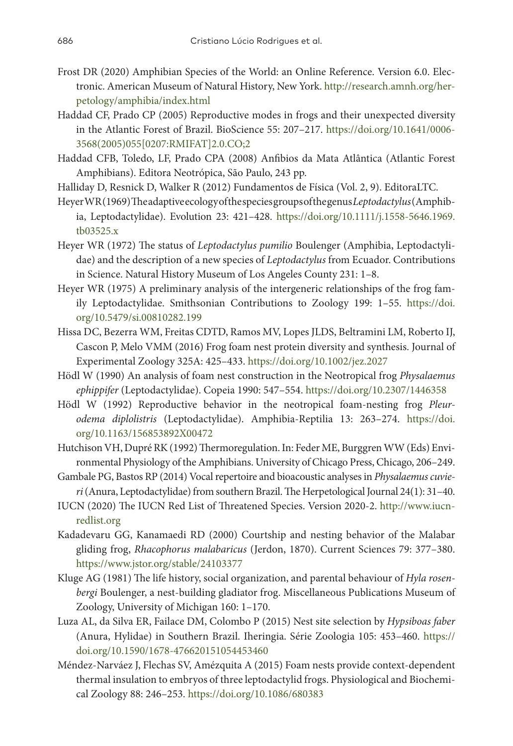- Frost DR (2020) Amphibian Species of the World: an Online Reference. Version 6.0. Electronic. American Museum of Natural History, New York. [http://research.amnh.org/her](http://research.amnh.org/herpetology/amphibia/index.html)[petology/amphibia/index.html](http://research.amnh.org/herpetology/amphibia/index.html)
- Haddad CF, Prado CP (2005) Reproductive modes in frogs and their unexpected diversity in the Atlantic Forest of Brazil. BioScience 55: 207–217. [https://doi.org/10.1641/0006-](https://doi.org/10.1641/0006-3568(2005)055%5B0207:RMIFAT%5D2.0.CO;2) [3568\(2005\)055\[0207:RMIFAT\]2.0.CO;2](https://doi.org/10.1641/0006-3568(2005)055%5B0207:RMIFAT%5D2.0.CO;2)
- Haddad CFB, Toledo, LF, Prado CPA (2008) Anfibios da Mata Atlântica (Atlantic Forest Amphibians). Editora Neotrópica, São Paulo, 243 pp.
- Halliday D, Resnick D, Walker R (2012) Fundamentos de Física (Vol. 2, 9). EditoraLTC.
- Heyer WR (1969) The adaptive ecology of the species groups of the genus *Leptodactylus* (Amphibia, Leptodactylidae). Evolution 23: 421–428. [https://doi.org/10.1111/j.1558-5646.1969.](https://doi.org/10.1111/j.1558-5646.1969.tb03525.x) [tb03525.x](https://doi.org/10.1111/j.1558-5646.1969.tb03525.x)
- Heyer WR (1972) The status of *Leptodactylus pumilio* Boulenger (Amphibia, Leptodactylidae) and the description of a new species of *Leptodactylus* from Ecuador. Contributions in Science. Natural History Museum of Los Angeles County 231: 1–8.
- Heyer WR (1975) A preliminary analysis of the intergeneric relationships of the frog family Leptodactylidae. Smithsonian Contributions to Zoology 199: 1–55. [https://doi.](https://doi.org/10.5479/si.00810282.199) [org/10.5479/si.00810282.199](https://doi.org/10.5479/si.00810282.199)
- Hissa DC, Bezerra WM, Freitas CDTD, Ramos MV, Lopes JLDS, Beltramini LM, Roberto IJ, Cascon P, Melo VMM (2016) Frog foam nest protein diversity and synthesis. Journal of Experimental Zoology 325A: 425–433.<https://doi.org/10.1002/jez.2027>
- Hödl W (1990) An analysis of foam nest construction in the Neotropical frog *Physalaemus ephippifer* (Leptodactylidae). Copeia 1990: 547–554. <https://doi.org/10.2307/1446358>
- Hödl W (1992) Reproductive behavior in the neotropical foam-nesting frog *Pleurodema diplolistris* (Leptodactylidae). Amphibia-Reptilia 13: 263–274. [https://doi.](https://doi.org/10.1163/156853892X00472) [org/10.1163/156853892X00472](https://doi.org/10.1163/156853892X00472)
- Hutchison VH, Dupré RK (1992) Thermoregulation. In: Feder ME, Burggren WW (Eds) Environmental Physiology of the Amphibians. University of Chicago Press, Chicago, 206–249.
- Gambale PG, Bastos RP (2014) Vocal repertoire and bioacoustic analyses in *Physalaemus cuvieri* (Anura, Leptodactylidae) from southern Brazil. The Herpetological Journal 24(1): 31–40.
- IUCN (2020) The IUCN Red List of Threatened Species. Version 2020-2. [http://www.iucn](http://www.iucnredlist.org)[redlist.org](http://www.iucnredlist.org)
- Kadadevaru GG, Kanamaedi RD (2000) Courtship and nesting behavior of the Malabar gliding frog, *Rhacophorus malabaricus* (Jerdon, 1870). Current Sciences 79: 377–380. <https://www.jstor.org/stable/24103377>
- Kluge AG (1981) The life history, social organization, and parental behaviour of *Hyla rosenbergi* Boulenger, a nest-building gladiator frog. Miscellaneous Publications Museum of Zoology, University of Michigan 160: 1–170.
- Luza AL, da Silva ER, Failace DM, Colombo P (2015) Nest site selection by *Hypsiboas faber*  (Anura, Hylidae) in Southern Brazil. Iheringia. Série Zoologia 105: 453–460. [https://](https://doi.org/10.1590/1678-476620151054453460) [doi.org/10.1590/1678-476620151054453460](https://doi.org/10.1590/1678-476620151054453460)
- Méndez-Narváez J, Flechas SV, Amézquita A (2015) Foam nests provide context-dependent thermal insulation to embryos of three leptodactylid frogs. Physiological and Biochemical Zoology 88: 246–253.<https://doi.org/10.1086/680383>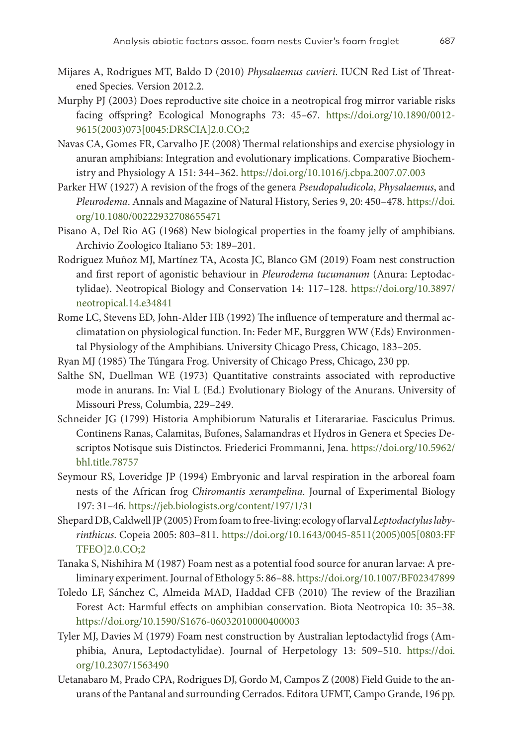- Mijares A, Rodrigues MT, Baldo D (2010) *Physalaemus cuvieri*. IUCN Red List of Threatened Species. Version 2012.2.
- Murphy PJ (2003) Does reproductive site choice in a neotropical frog mirror variable risks facing offspring? Ecological Monographs 73: 45–67. [https://doi.org/10.1890/0012-](https://doi.org/10.1890/0012-9615(2003)073%5B0045:DRSCIA%5D2.0.CO;2) [9615\(2003\)073\[0045:DRSCIA\]2.0.CO;2](https://doi.org/10.1890/0012-9615(2003)073%5B0045:DRSCIA%5D2.0.CO;2)
- Navas CA, Gomes FR, Carvalho JE (2008) Thermal relationships and exercise physiology in anuran amphibians: Integration and evolutionary implications. Comparative Biochemistry and Physiology A 151: 344–362. <https://doi.org/10.1016/j.cbpa.2007.07.003>
- Parker HW (1927) A revision of the frogs of the genera *Pseudopaludicola*, *Physalaemus*, and *Pleurodema*. Annals and Magazine of Natural History, Series 9, 20: 450–478. [https://doi.](https://doi.org/10.1080/00222932708655471) [org/10.1080/00222932708655471](https://doi.org/10.1080/00222932708655471)
- Pisano A, Del Rio AG (1968) New biological properties in the foamy jelly of amphibians. Archivio Zoologico Italiano 53: 189–201.
- Rodriguez Muñoz MJ, Martínez TA, Acosta JC, Blanco GM (2019) Foam nest construction and first report of agonistic behaviour in *Pleurodema tucumanum* (Anura: Leptodactylidae). Neotropical Biology and Conservation 14: 117–128. [https://doi.org/10.3897/](https://doi.org/10.3897/neotropical.14.e34841) [neotropical.14.e34841](https://doi.org/10.3897/neotropical.14.e34841)
- Rome LC, Stevens ED, John‐Alder HB (1992) The influence of temperature and thermal acclimatation on physiological function. In: Feder ME, Burggren WW (Eds) Environmental Physiology of the Amphibians. University Chicago Press, Chicago, 183–205.
- Ryan MJ (1985) The Túngara Frog. University of Chicago Press, Chicago, 230 pp.
- Salthe SN, Duellman WE (1973) Quantitative constraints associated with reproductive mode in anurans. In: Vial L (Ed.) Evolutionary Biology of the Anurans. University of Missouri Press, Columbia, 229–249.
- Schneider JG (1799) Historia Amphibiorum Naturalis et Literarariae. Fasciculus Primus. Continens Ranas, Calamitas, Bufones, Salamandras et Hydros in Genera et Species Descriptos Notisque suis Distinctos. Friederici Frommanni, Jena. [https://doi.org/10.5962/](https://doi.org/10.5962/bhl.title.78757) [bhl.title.78757](https://doi.org/10.5962/bhl.title.78757)
- Seymour RS, Loveridge JP (1994) Embryonic and larval respiration in the arboreal foam nests of the African frog *Chiromantis xerampelina*. Journal of Experimental Biology 197: 31–46.<https://jeb.biologists.org/content/197/1/31>
- Shepard DB, Caldwell JP (2005) From foam to free-living: ecology of larval *Leptodactylus labyrinthicus*. Copeia 2005: 803–811. [https://doi.org/10.1643/0045-8511\(2005\)005\[0803:FF](https://doi.org/10.1643/0045-8511(2005)005%5B0803:FFTFEO%5D2.0.CO;2) [TFEO\]2.0.CO;2](https://doi.org/10.1643/0045-8511(2005)005%5B0803:FFTFEO%5D2.0.CO;2)
- Tanaka S, Nishihira M (1987) Foam nest as a potential food source for anuran larvae: A preliminary experiment. Journal of Ethology 5: 86–88.<https://doi.org/10.1007/BF02347899>
- Toledo LF, Sánchez C, Almeida MAD, Haddad CFB (2010) The review of the Brazilian Forest Act: Harmful effects on amphibian conservation. Biota Neotropica 10: 35–38. <https://doi.org/10.1590/S1676-06032010000400003>
- Tyler MJ, Davies M (1979) Foam nest construction by Australian leptodactylid frogs (Amphibia, Anura, Leptodactylidae). Journal of Herpetology 13: 509–510. [https://doi.](https://doi.org/10.2307/1563490) [org/10.2307/1563490](https://doi.org/10.2307/1563490)
- Uetanabaro M, Prado CPA, Rodrigues DJ, Gordo M, Campos Z (2008) Field Guide to the anurans of the Pantanal and surrounding Cerrados. Editora UFMT, Campo Grande, 196 pp.